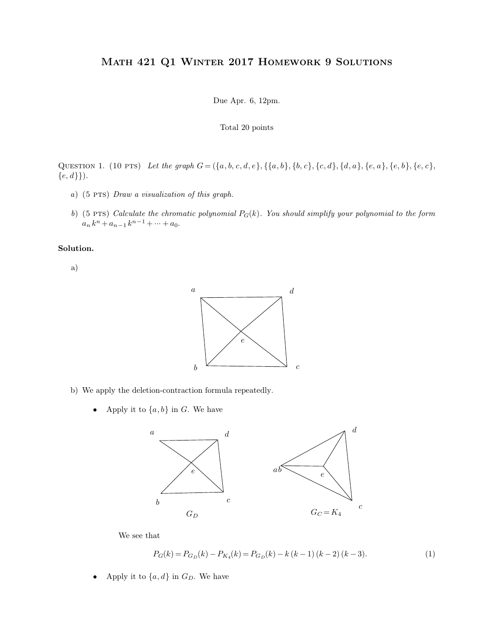## Math 421 Q1 Winter 2017 Homework 9 Solutions ER 2017 HOMEW<br>Due Apr. 6, 12pm.

Due Apr. 6, 12pm.<br>Total 20 points

QUESTION 1. (10 PTS) Let the graph  $G = (\{a, b, c, d, e\}, \{\{a, b\}, \{b, c\}, \{c, d\}, \{d, a\}, \{e, a\}, \{e, b\}, \{e, c\}, \{e, d\}\}).$ <br>
a) (5 PTS) Draw a visualization of this graph.

- 
- *<sup>b</sup>*) (5 pts) *Calculate the chromatic polynomial <sup>P</sup>G*(*k*)*. You should simplify your polynomial to the form*  $a_n k^n + a_{n-1} k^{n-1} + \dots + a_0.$

**Solution.**

a)



- % apply the deletion-contraction formula repe<br>• Apply it to  $\{a, b\}$  in *G*. We have
	-



$$
P_G(k) = P_{G_D}(k) - P_{K_4}(k) = P_{G_D}(k) - k(k-1)(k-2)(k-3).
$$
 (1)

We see that  $P_G(k) = P_{G_D}(k) - P_{K_4}$  Apply it to<br>  $\{a,d\}$  in  $G_D.$  We have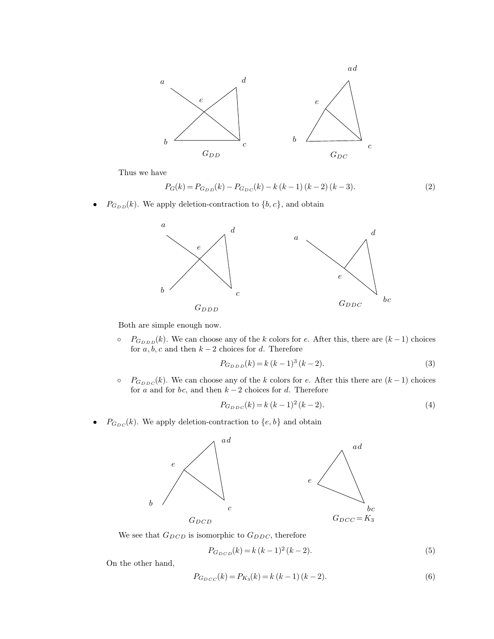

$$
P_G(k) = P_{G_{DD}}(k) - P_{G_{DC}}(k) - k(k-1)(k-2)(k-3).
$$
 (2)



for *a*; *a*<sub>*c p*<sub>*a*</sub><sub>*p*</sub><sub>*n*</sub></sup>*n<i>k*. We can choose any of the *k* colors for *e*. After for *a*, *b*, *c* and then *k* - 2 choices for *d*. Therefore  $P_{G_{DDD}}(k) = k (k - 1)^{3} (k - 2)$ .</sub> *P*<sub>*G*<sub>*DDD</sub>*(*k*). We can choose any of the *k* colors for *e*. After this, there are (*k* - 1) choices<br>for *a*, *b*, *c* and then *k* - 2 choices for *d*. Therefore<br> $P_{G_{DDD}}(k) = k (k - 1)^3 (k - 2)$ . (3)<br> $P_{G_{DDC}}(k)$ . We can</sub></sub>

$$
P_{G_{D D D}}(k) = k (k - 1)^3 (k - 2).
$$
 (3)

for *a*, *b*, *c* and then  $k-2$  choices for *d*. Therefore<br>  $P_{G_{DDD}}(k) = k (k-1)^3 (k-2)$ .<br>  $P_{G_{DDC}}(k)$ . We can choose any of the *k* colors for *e*. After this t<br>
for *a* and for *bc*, and then  $k-2$  choices for *d*. There *P*<sub>*G*<sub>*DDC</sub>*(*k*). We can choose any of the *k* colors for *e*. After this that for *a* and for *bc*, and then  $k - 2$  choices for *d*. Therefore<br> $P_{G_{DDC}}(k) = k (k - 1)^2 (k - 2)$ .<br> $P_{G_{DC}}(k)$ . We apply deletion-contraction to</sub></sub>

$$
P_{G_{DDC}}(k) = k (k-1)^2 (k-2).
$$
\n(4)



$$
P_{G_{DCD}}(k) = k (k-1)^2 (k-2).
$$
\n(5)

$$
P_{G_{DCC}}(k) = P_{K_3}(k) = k (k - 1) (k - 2).
$$
\n(6)